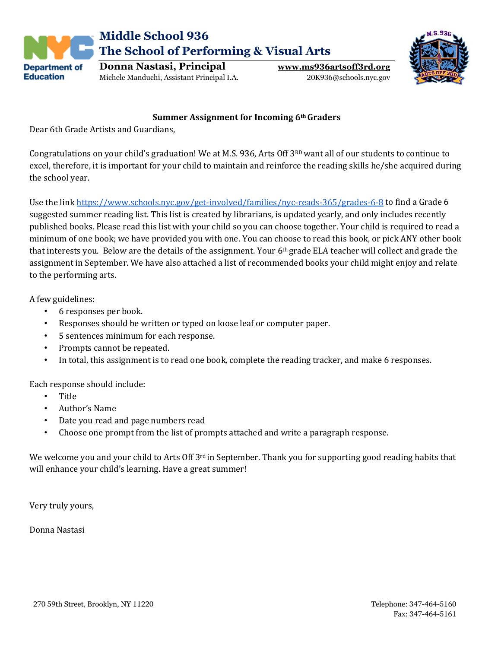



Michele Manduchi, Assistant Principal I.A. 20K936@schools.nyc.gov

#### **Summer Assignment for Incoming 6th Graders**

Dear 6th Grade Artists and Guardians,

Congratulations on your child's graduation! We at M.S. 936, Arts Off  $3<sup>RD</sup>$  want all of our students to continue to excel, therefore, it is important for your child to maintain and reinforce the reading skills he/she acquired during the school year.

Use the lin[k https://www.schools.nyc.gov/get-involved/families/nyc-reads-365/grades-6-8](https://www.schools.nyc.gov/get-involved/families/nyc-reads-365/grades-6-8) to find a Grade 6 suggested summer reading list. This list is created by librarians, is updated yearly, and only includes recently published books. Please read this list with your child so you can choose together. Your child is required to read a minimum of one book; we have provided you with one. You can choose to read this book, or pick ANY other book that interests you. Below are the details of the assignment. Your 6th grade ELA teacher will collect and grade the assignment in September. We have also attached a list of recommended books your child might enjoy and relate to the performing arts.

A few guidelines:

- 6 responses per book.
- Responses should be written or typed on loose leaf or computer paper.
- 5 sentences minimum for each response.
- Prompts cannot be repeated.
- In total, this assignment is to read one book, complete the reading tracker, and make 6 responses.

Each response should include:

- Title
- Author's Name
- Date you read and page numbers read
- Choose one prompt from the list of prompts attached and write a paragraph response.

We welcome you and your child to Arts Off 3<sup>rd</sup> in September. Thank you for supporting good reading habits that will enhance your child's learning. Have a great summer!

Very truly yours,

Donna Nastasi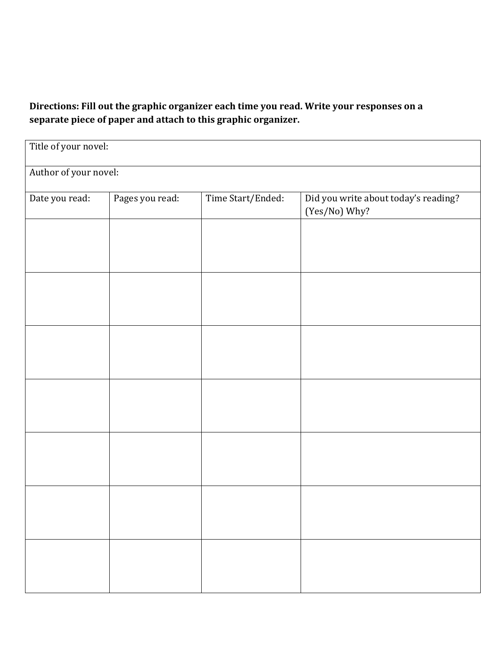## **Directions: Fill out the graphic organizer each time you read. Write your responses on a separate piece of paper and attach to this graphic organizer.**

| Title of your novel:  |                 |                   |                                                       |
|-----------------------|-----------------|-------------------|-------------------------------------------------------|
| Author of your novel: |                 |                   |                                                       |
| Date you read:        | Pages you read: | Time Start/Ended: | Did you write about today's reading?<br>(Yes/No) Why? |
|                       |                 |                   |                                                       |
|                       |                 |                   |                                                       |
|                       |                 |                   |                                                       |
|                       |                 |                   |                                                       |
|                       |                 |                   |                                                       |
|                       |                 |                   |                                                       |
|                       |                 |                   |                                                       |
|                       |                 |                   |                                                       |
|                       |                 |                   |                                                       |
|                       |                 |                   |                                                       |
|                       |                 |                   |                                                       |
|                       |                 |                   |                                                       |
|                       |                 |                   |                                                       |
|                       |                 |                   |                                                       |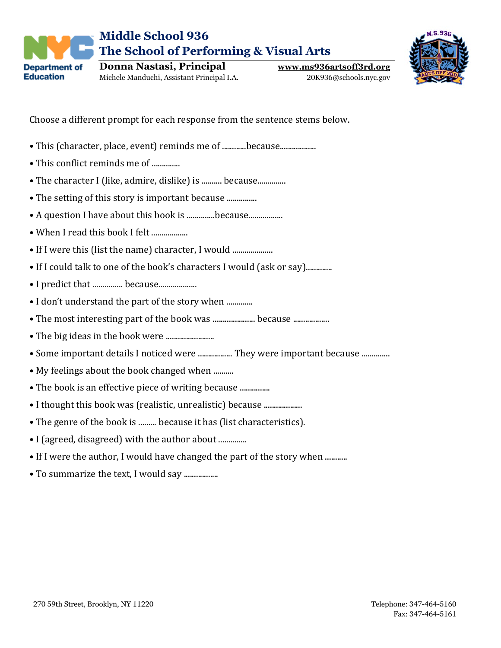# **Middle School 936 The School of Performing & Visual Arts Donna Nastasi, Principal [www.ms936artsoff3rd.org](http://www.ms936artsoff3rd.org/)**

**Department of Education** 

Michele Manduchi, Assistant Principal I.A. 20K936@schools.nyc.gov



Choose a different prompt for each response from the sentence stems below.

- This (character, place, event) reminds me of .............because...................
- This conflict reminds me of ..............
- The character I (like, admire, dislike) is .......... because...............
- The setting of this story is important because ................
- A question I have about this book is ...............because..................
- When I read this book I felt ..................
- If I were this (list the name) character, I would ............................
- If I could talk to one of the book's characters I would (ask or say)..............
- I predict that ............... because...................
- I don't understand the part of the story when .............
- The most interesting part of the book was .......................... because ...............................
- The big ideas in the book were ........................
- Some important details I noticed were .................. They were important because ...............
- My feelings about the book changed when ..........
- The book is an effective piece of writing because ................
- I thought this book was (realistic, unrealistic) because .....................
- The genre of the book is ......... because it has (list characteristics).
- I (agreed, disagreed) with the author about ..............
- If I were the author, I would have changed the part of the story when ...........
- To summarize the text, I would say .................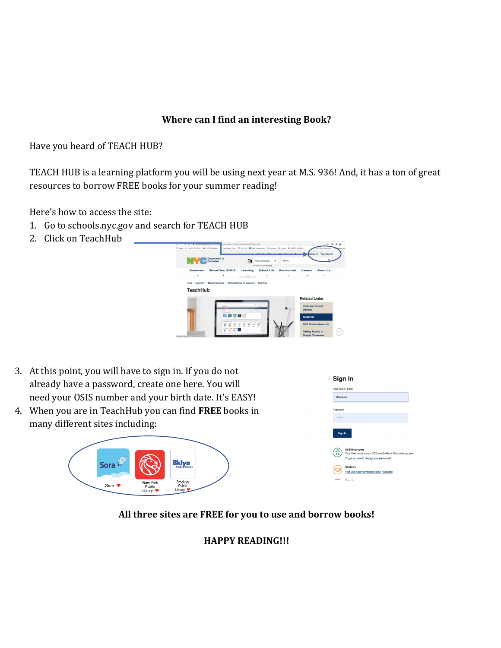### **Where can I find an interesting Book?**

Have you heard of TEACH HUB?

TEACH HUB is a learning platform you will be using next year at M.S. 936! And, it has a ton of great resources to borrow FREE books for your summer reading!

Here's how to access the site:

- 1. Go to schools.nyc.gov and search for TEACH HUB
- 2. Click on TeachHub



- 3. At this point, you will have to sign in. If you do not already have a password, create one here. You will need your OSIS number and your birth date. It's EASY!
- 4. When you are in TeachHub you can find **FREE** books in many different sites including:



|           | User name / Email                                                                  |
|-----------|------------------------------------------------------------------------------------|
| MManduchi |                                                                                    |
| Password  |                                                                                    |
|           |                                                                                    |
| Sign In   |                                                                                    |
|           | <b>DOE Employees</b><br>Your User name is your DOE email without @schools.nyc.gov. |
|           | Forgot or need to change your password?                                            |
|           | <b>Students</b>                                                                    |
|           | Find your User name/Reset your Password                                            |

**All three sites are FREE for you to use and borrow books!**

#### **HAPPY READING!!!**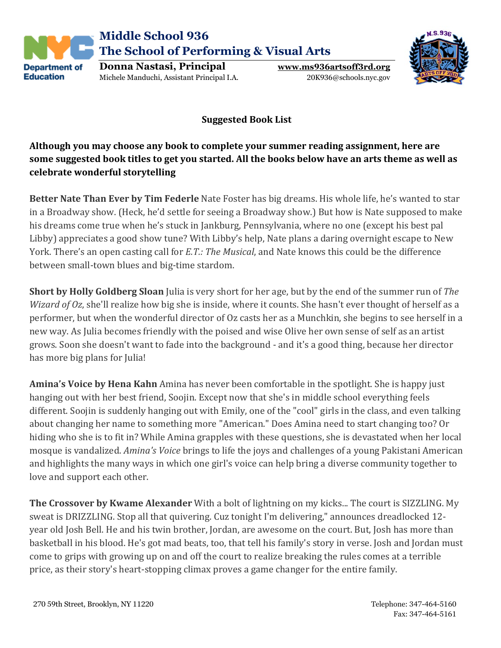



**Suggested Book List**

**Although you may choose any book to complete your summer reading assignment, here are some suggested book titles to get you started. All the books below have an arts theme as well as celebrate wonderful storytelling**

**Better Nate Than Ever by Tim Federle** Nate Foster has big dreams. His whole life, he's wanted to star in a Broadway show. (Heck, he'd settle for seeing a Broadway show.) But how is Nate supposed to make his dreams come true when he's stuck in Jankburg, Pennsylvania, where no one (except his best pal Libby) appreciates a good show tune? With Libby's help, Nate plans a daring overnight escape to New York. There's an open casting call for *E.T.: The Musical*, and Nate knows this could be the difference between small-town blues and big-time stardom.

**Short by Holly Goldberg Sloan** Julia is very short for her age, but by the end of the summer run of *The Wizard of Oz*, she'll realize how big she is inside, where it counts. She hasn't ever thought of herself as a performer, but when the wonderful director of Oz casts her as a Munchkin, she begins to see herself in a new way. As Julia becomes friendly with the poised and wise Olive her own sense of self as an artist grows. Soon she doesn't want to fade into the background - and it's a good thing, because her director has more big plans for Julia!

**Amina's Voice by Hena Kahn** Amina has never been comfortable in the spotlight. She is happy just hanging out with her best friend, Soojin. Except now that she's in middle school everything feels different. Soojin is suddenly hanging out with Emily, one of the "cool" girls in the class, and even talking about changing her name to something more "American." Does Amina need to start changing too? Or hiding who she is to fit in? While Amina grapples with these questions, she is devastated when her local mosque is vandalized. *Amina's Voice* brings to life the joys and challenges of a young Pakistani American and highlights the many ways in which one girl's voice can help bring a diverse community together to love and support each other.

**The Crossover by Kwame Alexander** With a bolt of lightning on my kicks... The court is SIZZLING. My sweat is DRIZZLING. Stop all that quivering. Cuz tonight I'm delivering," announces dreadlocked 12 year old Josh Bell. He and his twin brother, Jordan, are awesome on the court. But, Josh has more than basketball in his blood. He's got mad beats, too, that tell his family's story in verse. Josh and Jordan must come to grips with growing up on and off the court to realize breaking the rules comes at a terrible price, as their story's heart-stopping climax proves a game changer for the entire family.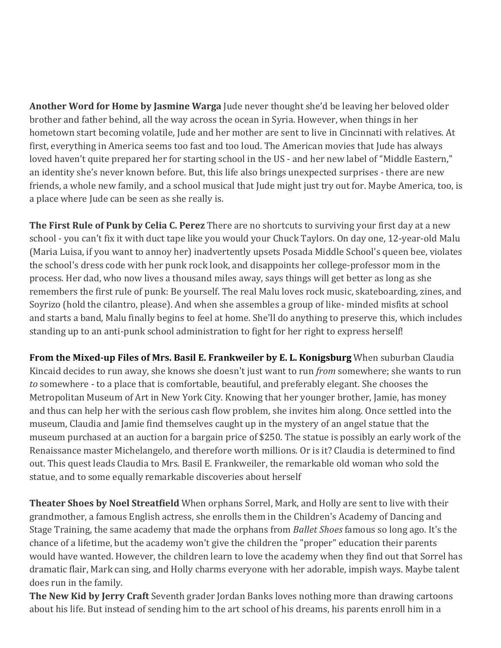**Another Word for Home by Jasmine Warga** Jude never thought she'd be leaving her beloved older brother and father behind, all the way across the ocean in Syria. However, when things in her hometown start becoming volatile, Jude and her mother are sent to live in Cincinnati with relatives. At first, everything in America seems too fast and too loud. The American movies that Jude has always loved haven't quite prepared her for starting school in the US - and her new label of "Middle Eastern," an identity she's never known before. But, this life also brings unexpected surprises - there are new friends, a whole new family, and a school musical that Jude might just try out for. Maybe America, too, is a place where Jude can be seen as she really is.

**The First Rule of Punk by Celia C. Perez** There are no shortcuts to surviving your first day at a new school - you can't fix it with duct tape like you would your Chuck Taylors. On day one, 12-year-old Malu (Maria Luisa, if you want to annoy her) inadvertently upsets Posada Middle School's queen bee, violates the school's dress code with her punk rock look, and disappoints her college-professor mom in the process. Her dad, who now lives a thousand miles away, says things will get better as long as she remembers the first rule of punk: Be yourself. The real Malu loves rock music, skateboarding, zines, and Soyrizo (hold the cilantro, please). And when she assembles a group of like- minded misfits at school and starts a band, Malu finally begins to feel at home. She'll do anything to preserve this, which includes standing up to an anti-punk school administration to fight for her right to express herself!

**From the Mixed-up Files of Mrs. Basil E. Frankweiler by E. L. Konigsburg** When suburban Claudia Kincaid decides to run away, she knows she doesn't just want to run *from* somewhere; she wants to run *to* somewhere - to a place that is comfortable, beautiful, and preferably elegant. She chooses the Metropolitan Museum of Art in New York City. Knowing that her younger brother, Jamie, has money and thus can help her with the serious cash flow problem, she invites him along. Once settled into the museum, Claudia and Jamie find themselves caught up in the mystery of an angel statue that the museum purchased at an auction for a bargain price of \$250. The statue is possibly an early work of the Renaissance master Michelangelo, and therefore worth millions. Or is it? Claudia is determined to find out. This quest leads Claudia to Mrs. Basil E. Frankweiler, the remarkable old woman who sold the statue, and to some equally remarkable discoveries about herself

**Theater Shoes by Noel Streatfield** When orphans Sorrel, Mark, and Holly are sent to live with their grandmother, a famous English actress, she enrolls them in the Children's Academy of Dancing and Stage Training, the same academy that made the orphans from *Ballet Shoes* famous so long ago. It's the chance of a lifetime, but the academy won't give the children the "proper" education their parents would have wanted. However, the children learn to love the academy when they find out that Sorrel has dramatic flair, Mark can sing, and Holly charms everyone with her adorable, impish ways. Maybe talent does run in the family.

**The New Kid by Jerry Craft** Seventh grader Jordan Banks loves nothing more than drawing cartoons about his life. But instead of sending him to the art school of his dreams, his parents enroll him in a